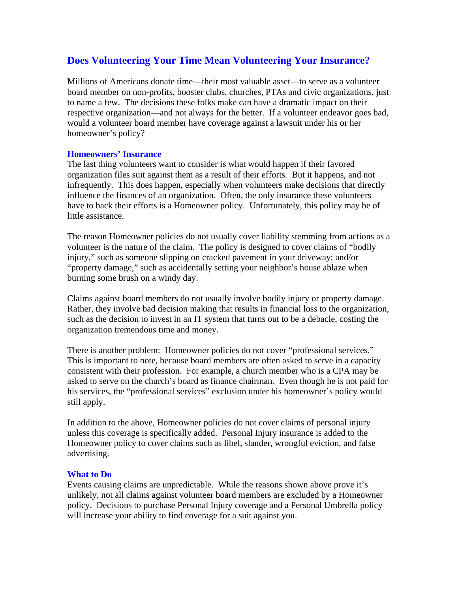## **Does Volunteering Your Time Mean Volunteering Your Insurance?**

Millions of Americans donate time—their most valuable asset—to serve as a volunteer board member on non-profits, booster clubs, churches, PTAs and civic organizations, just to name a few. The decisions these folks make can have a dramatic impact on their respective organization—and not always for the better. If a volunteer endeavor goes bad, would a volunteer board member have coverage against a lawsuit under his or her homeowner's policy?

## **Homeowners' Insurance**

The last thing volunteers want to consider is what would happen if their favored organization files suit against them as a result of their efforts. But it happens, and not infrequently. This does happen, especially when volunteers make decisions that directly influence the finances of an organization. Often, the only insurance these volunteers have to back their efforts is a Homeowner policy. Unfortunately, this policy may be of little assistance.

The reason Homeowner policies do not usually cover liability stemming from actions as a volunteer is the nature of the claim. The policy is designed to cover claims of "bodily injury," such as someone slipping on cracked pavement in your driveway; and/or "property damage," such as accidentally setting your neighbor's house ablaze when burning some brush on a windy day.

Claims against board members do not usually involve bodily injury or property damage. Rather, they involve bad decision making that results in financial loss to the organization, such as the decision to invest in an IT system that turns out to be a debacle, costing the organization tremendous time and money.

There is another problem: Homeowner policies do not cover "professional services." This is important to note, because board members are often asked to serve in a capacity consistent with their profession. For example, a church member who is a CPA may be asked to serve on the church's board as finance chairman. Even though he is not paid for his services, the "professional services" exclusion under his homeowner's policy would still apply.

In addition to the above, Homeowner policies do not cover claims of personal injury unless this coverage is specifically added. Personal Injury insurance is added to the Homeowner policy to cover claims such as libel, slander, wrongful eviction, and false advertising.

## **What to Do**

Events causing claims are unpredictable. While the reasons shown above prove it's unlikely, not all claims against volunteer board members are excluded by a Homeowner policy. Decisions to purchase Personal Injury coverage and a Personal Umbrella policy will increase your ability to find coverage for a suit against you.